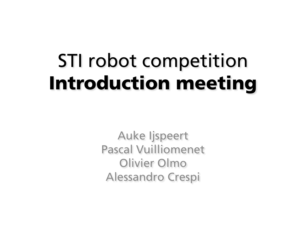## STI robot competition Introduction meeting

Auke Ijspeert Pascal Vuilliomenet Olivier Olmo Alessandro Crespi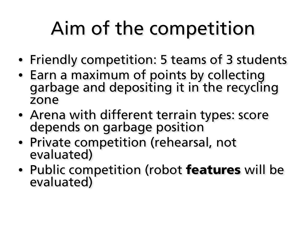## Aim of the competition

- Friendly competition: 5 teams of 3 students
- Earn a maximum of points by collecting garbage and depositing it in the recycling zone
- Arena with different terrain types: score depends on garbage position
- Private competition (rehearsal, not evaluated)
- Public competition (robot features will be evaluated)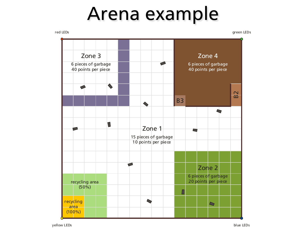#### Arena example



yellow LEDs blue LEDs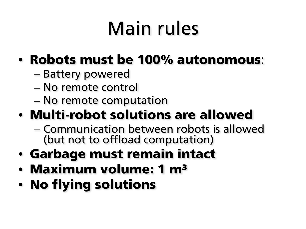## Main rules

#### • Robots must be 100% autonomous:

- Battery powered
- No remote control
- No remote computation

#### • Multi-robot solutions are allowed

- Communication between robots is allowed (but not to offload computation)
- Garbage must remain intact
- Maximum volume: 1 m<sup>3</sup>
- No flying solutions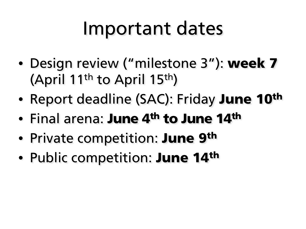#### Important dates

- Design review ("milestone 3"): week 7 (April 11th to April 15th)
- Report deadline (SAC): Friday June 10<sup>th</sup>
- Final arena: June 4<sup>th</sup> to June 14<sup>th</sup>
- Private competition: **June 9th**
- Public competition: **June 14th**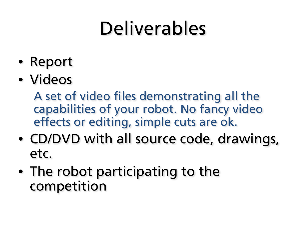### Deliverables

- Report
- Videos

A set of video files demonstrating all the capabilities of your robot. No fancy video effects or editing, simple cuts are ok.

- CD/DVD with all source code, drawings, etc.
- The robot participating to the competition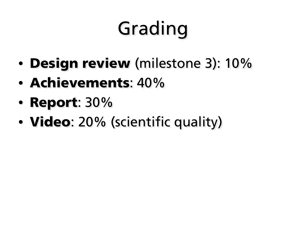# Grading

- Design review (milestone 3): 10%
- Achievements: 40%
- Report: 30%
- **Video**: 20% (scientific quality)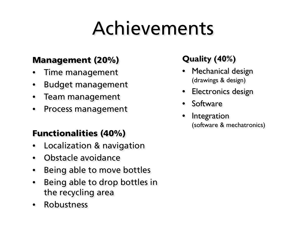### Achievements

#### Management (20%)

- Time management
- Budget management
- Team management
- Process management

#### Functionalities (40%)

- Localization & navigation
- Obstacle avoidance
- Being able to move bottles
- Being able to drop bottles in the recycling area
- Robustness

#### **Quality (40%)**

- Mechanical design (drawings & design)
- Electronics design
- Software
- **Integration** (software & mechatronics)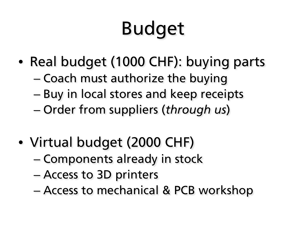# Budget

- Real budget (1000 CHF): buying parts
	- Coach must authorize the buying
	- Buy in local stores and keep receipts
	- Order from suppliers (*through us*)
- Virtual budget (2000 CHF)
	- Components already in stock
	- Access to 3D printers
	- Access to mechanical & PCB workshop